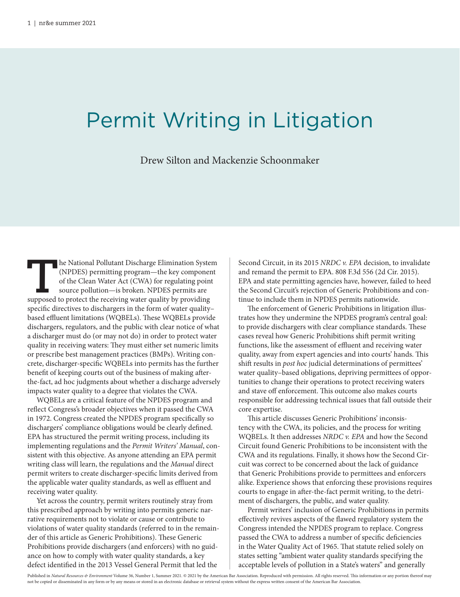## Permit Writing in Litigation

Drew Silton and Mackenzie Schoonmaker

**T**he National Pollutant Discharge Elimination System (NPDES) permitting program—the key component of the Clean Water Act (CWA) for regulating point source pollution—is broken. NPDES permits are supposed to protect the receiving water quality by providing specific directives to dischargers in the form of water quality– based effluent limitations (WQBELs). These WQBELs provide dischargers, regulators, and the public with clear notice of what a discharger must do (or may not do) in order to protect water quality in receiving waters: They must either set numeric limits or prescribe best management practices (BMPs). Writing concrete, discharger-specific WQBELs into permits has the further benefit of keeping courts out of the business of making afterthe-fact, ad hoc judgments about whether a discharge adversely impacts water quality to a degree that violates the CWA.

WQBELs are a critical feature of the NPDES program and reflect Congress's broader objectives when it passed the CWA in 1972. Congress created the NPDES program specifically so dischargers' compliance obligations would be clearly defined. EPA has structured the permit writing process, including its implementing regulations and the *Permit Writers' Manual*, consistent with this objective. As anyone attending an EPA permit writing class will learn, the regulations and the *Manual* direct permit writers to create discharger-specific limits derived from the applicable water quality standards, as well as effluent and receiving water quality.

Yet across the country, permit writers routinely stray from this prescribed approach by writing into permits generic narrative requirements not to violate or cause or contribute to violations of water quality standards (referred to in the remainder of this article as Generic Prohibitions). These Generic Prohibitions provide dischargers (and enforcers) with no guidance on how to comply with water quality standards, a key defect identified in the 2013 Vessel General Permit that led the

Second Circuit, in its 2015 *NRDC v. EPA* decision, to invalidate and remand the permit to EPA. 808 F.3d 556 (2d Cir. 2015). EPA and state permitting agencies have, however, failed to heed the Second Circuit's rejection of Generic Prohibitions and continue to include them in NPDES permits nationwide.

The enforcement of Generic Prohibitions in litigation illustrates how they undermine the NPDES program's central goal: to provide dischargers with clear compliance standards. These cases reveal how Generic Prohibitions shift permit writing functions, like the assessment of effluent and receiving water quality, away from expert agencies and into courts' hands. This shift results in *post hoc* judicial determinations of permittees' water quality–based obligations, depriving permittees of opportunities to change their operations to protect receiving waters and stave off enforcement. This outcome also makes courts responsible for addressing technical issues that fall outside their core expertise.

This article discusses Generic Prohibitions' inconsistency with the CWA, its policies, and the process for writing WQBELs. It then addresses *NRDC v. EPA* and how the Second Circuit found Generic Prohibitions to be inconsistent with the CWA and its regulations. Finally, it shows how the Second Circuit was correct to be concerned about the lack of guidance that Generic Prohibitions provide to permittees and enforcers alike. Experience shows that enforcing these provisions requires courts to engage in after-the-fact permit writing, to the detriment of dischargers, the public, and water quality.

Permit writers' inclusion of Generic Prohibitions in permits effectively revives aspects of the flawed regulatory system the Congress intended the NPDES program to replace. Congress passed the CWA to address a number of specific deficiencies in the Water Quality Act of 1965. That statute relied solely on states setting "ambient water quality standards specifying the acceptable levels of pollution in a State's waters" and generally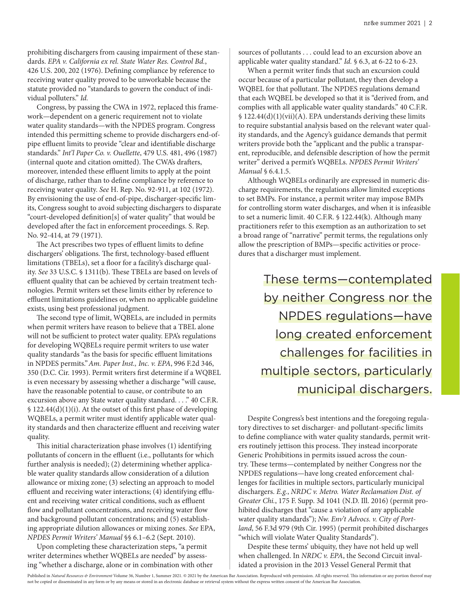prohibiting dischargers from causing impairment of these standards. *EPA v. California ex rel. State Water Res. Control Bd.*, 426 U.S. 200, 202 (1976). Defining compliance by reference to receiving water quality proved to be unworkable because the statute provided no "standards to govern the conduct of individual polluters." *Id.*

Congress, by passing the CWA in 1972, replaced this framework—dependent on a generic requirement not to violate water quality standards—with the NPDES program. Congress intended this permitting scheme to provide dischargers end-ofpipe effluent limits to provide "clear and identifiable discharge standards." *Int'l Paper Co. v. Ouellette*, 479 U.S. 481, 496 (1987) (internal quote and citation omitted). The CWA's drafters, moreover, intended these effluent limits to apply at the point of discharge, rather than to define compliance by reference to receiving water quality. *See* H. Rep. No. 92-911, at 102 (1972). By envisioning the use of end-of-pipe, discharger-specific limits, Congress sought to avoid subjecting dischargers to disparate "court-developed definition[s] of water quality" that would be developed after the fact in enforcement proceedings. S. Rep. No. 92-414, at 79 (1971).

The Act prescribes two types of effluent limits to define dischargers' obligations. The first, technology-based effluent limitations (TBELs), set a floor for a facility's discharge quality. *See* 33 U.S.C. § 1311(b). These TBELs are based on levels of effluent quality that can be achieved by certain treatment technologies. Permit writers set these limits either by reference to effluent limitations guidelines or, when no applicable guideline exists, using best professional judgment.

The second type of limit, WQBELs, are included in permits when permit writers have reason to believe that a TBEL alone will not be sufficient to protect water quality. EPA's regulations for developing WQBELs require permit writers to use water quality standards "as the basis for specific effluent limitations in NPDES permits."*Am. Paper Inst., Inc. v. EPA*, 996 F.2d 346, 350 (D.C. Cir. 1993). Permit writers first determine if a WQBEL is even necessary by assessing whether a discharge "will cause, have the reasonable potential to cause, or contribute to an excursion above any State water quality standard. . . ." 40 C.F.R. § 122.44(d)(1)(i). At the outset of this first phase of developing WQBELs, a permit writer must identify applicable water quality standards and then characterize effluent and receiving water quality.

This initial characterization phase involves (1) identifying pollutants of concern in the effluent (i.e., pollutants for which further analysis is needed); (2) determining whether applicable water quality standards allow consideration of a dilution allowance or mixing zone; (3) selecting an approach to model effluent and receiving water interactions; (4) identifying effluent and receiving water critical conditions, such as effluent flow and pollutant concentrations, and receiving water flow and background pollutant concentrations; and (5) establishing appropriate dilution allowances or mixing zones. *See* EPA, *NPDES Permit Writers' Manual* §§ 6.1–6.2 (Sept. 2010).

Upon completing these characterization steps, "a permit writer determines whether WQBELs are needed" by assessing "whether a discharge, alone or in combination with other sources of pollutants . . . could lead to an excursion above an applicable water quality standard." *Id.* § 6.3, at 6-22 to 6-23.

When a permit writer finds that such an excursion could occur because of a particular pollutant, they then develop a WQBEL for that pollutant. The NPDES regulations demand that each WQBEL be developed so that it is "derived from, and complies with all applicable water quality standards." 40 C.F.R. § 122.44(d)(1)(vii)(A). EPA understands deriving these limits to require substantial analysis based on the relevant water quality standards, and the Agency's guidance demands that permit writers provide both the "applicant and the public a transparent, reproducible, and defensible description of how the permit writer" derived a permit's WQBELs. *NPDES Permit Writers' Manual* § 6.4.1.5.

Although WQBELs ordinarily are expressed in numeric discharge requirements, the regulations allow limited exceptions to set BMPs. For instance, a permit writer may impose BMPs for controlling storm water discharges, and when it is infeasible to set a numeric limit. 40 C.F.R. § 122.44(k). Although many practitioners refer to this exemption as an authorization to set a broad range of "narrative" permit terms, the regulations only allow the prescription of BMPs—specific activities or procedures that a discharger must implement.

> These terms—contemplated by neither Congress nor the NPDES regulations—have long created enforcement challenges for facilities in multiple sectors, particularly municipal dischargers.

Despite Congress's best intentions and the foregoing regulatory directives to set discharger- and pollutant-specific limits to define compliance with water quality standards, permit writers routinely jettison this process. They instead incorporate Generic Prohibitions in permits issued across the country. These terms—contemplated by neither Congress nor the NPDES regulations—have long created enforcement challenges for facilities in multiple sectors, particularly municipal dischargers. *E.g.*, *NRDC v. Metro. Water Reclamation Dist. of Greater Chi.*, 175 F. Supp. 3d 1041 (N.D. Ill. 2016) (permit prohibited discharges that "cause a violation of any applicable water quality standards"); *Nw. Env't Advocs. v. City of Portland*, 56 F.3d 979 (9th Cir. 1995) (permit prohibited discharges "which will violate Water Quality Standards").

Despite these terms' ubiquity, they have not held up well when challenged. In *NRDC v. EPA*, the Second Circuit invalidated a provision in the 2013 Vessel General Permit that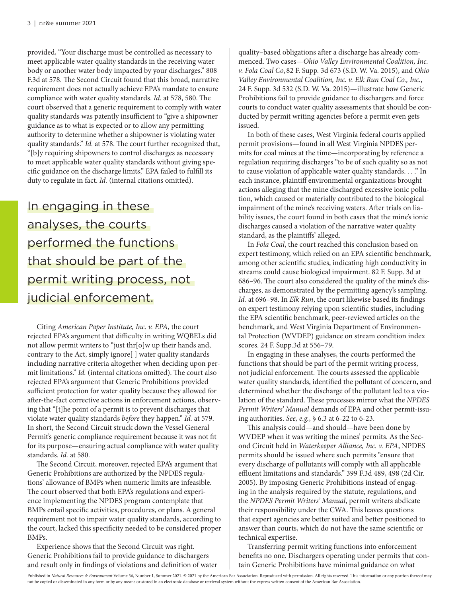provided, "Your discharge must be controlled as necessary to meet applicable water quality standards in the receiving water body or another water body impacted by your discharges." 808 F.3d at 578. The Second Circuit found that this broad, narrative requirement does not actually achieve EPA's mandate to ensure compliance with water quality standards. *Id.* at 578, 580. The court observed that a generic requirement to comply with water quality standards was patently insufficient to "give a shipowner guidance as to what is expected or to allow any permitting authority to determine whether a shipowner is violating water quality standards." *Id.* at 578. The court further recognized that, "[b]y requiring shipowners to control discharges as necessary to meet applicable water quality standards without giving specific guidance on the discharge limits," EPA failed to fulfill its duty to regulate in fact. *Id.* (internal citations omitted).

In engaging in these analyses, the courts performed the functions that should be part of the permit writing process, not judicial enforcement.

Citing *American Paper Institute, Inc. v. EPA*, the court rejected EPA's argument that difficulty in writing WQBELs did not allow permit writers to "just thr[o]w up their hands and, contrary to the Act, simply ignore[ ] water quality standards including narrative criteria altogether when deciding upon permit limitations." *Id.* (internal citations omitted). The court also rejected EPA's argument that Generic Prohibitions provided sufficient protection for water quality because they allowed for after-the-fact corrective actions in enforcement actions, observing that "[t]he point of a permit is to prevent discharges that violate water quality standards *before* they happen." *Id.* at 579. In short, the Second Circuit struck down the Vessel General Permit's generic compliance requirement because it was not fit for its purpose—ensuring actual compliance with water quality standards. *Id.* at 580.

The Second Circuit, moreover, rejected EPA's argument that Generic Prohibitions are authorized by the NPDES regulations' allowance of BMPs when numeric limits are infeasible. The court observed that both EPA's regulations and experience implementing the NPDES program contemplate that BMPs entail specific activities, procedures, or plans. A general requirement not to impair water quality standards, according to the court, lacked this specificity needed to be considered proper BMPs.

Experience shows that the Second Circuit was right. Generic Prohibitions fail to provide guidance to dischargers and result only in findings of violations and definition of water quality–based obligations after a discharge has already commenced. Two cases—*Ohio Valley Environmental Coalition, Inc. v. Fola Coal Co*,82 F. Supp. 3d 673 (S.D. W. Va. 2015), and *Ohio Valley Environmental Coalition, Inc. v. Elk Run Coal Co., Inc.*, 24 F. Supp. 3d 532 (S.D. W. Va. 2015)—illustrate how Generic Prohibitions fail to provide guidance to dischargers and force courts to conduct water quality assessments that should be conducted by permit writing agencies before a permit even gets issued.

In both of these cases, West Virginia federal courts applied permit provisions—found in all West Virginia NPDES permits for coal mines at the time—incorporating by reference a regulation requiring discharges "to be of such quality so as not to cause violation of applicable water quality standards. . . ." In each instance, plaintiff environmental organizations brought actions alleging that the mine discharged excessive ionic pollution, which caused or materially contributed to the biological impairment of the mine's receiving waters. After trials on liability issues, the court found in both cases that the mine's ionic discharges caused a violation of the narrative water quality standard, as the plaintiffs' alleged.

In *Fola Coal*, the court reached this conclusion based on expert testimony, which relied on an EPA scientific benchmark, among other scientific studies, indicating high conductivity in streams could cause biological impairment. 82 F. Supp. 3d at 686–96. The court also considered the quality of the mine's discharges, as demonstrated by the permitting agency's sampling. *Id.* at 696–98. In *Elk Run*, the court likewise based its findings on expert testimony relying upon scientific studies, including the EPA scientific benchmark, peer-reviewed articles on the benchmark, and West Virginia Department of Environmental Protection (WVDEP) guidance on stream condition index scores. 24 F. Supp.3d at 556–79.

In engaging in these analyses, the courts performed the functions that should be part of the permit writing process, not judicial enforcement. The courts assessed the applicable water quality standards, identified the pollutant of concern, and determined whether the discharge of the pollutant led to a violation of the standard. These processes mirror what the *NPDES Permit Writers' Manual* demands of EPA and other permit-issuing authorities. *See, e.g.*, § 6.3 at 6-22 to 6-23.

This analysis could—and should—have been done by WVDEP when it was writing the mines' permits. As the Second Circuit held in *Waterkeeper Alliance, Inc. v. EPA*, NPDES permits should be issued where such permits "ensure that every discharge of pollutants will comply with all applicable effluent limitations and standards." 399 F.3d 489, 498 (2d Cir. 2005). By imposing Generic Prohibitions instead of engaging in the analysis required by the statute, regulations, and the *NPDES Permit Writers' Manual*, permit writers abdicate their responsibility under the CWA. This leaves questions that expert agencies are better suited and better positioned to answer than courts, which do not have the same scientific or technical expertise.

Transferring permit writing functions into enforcement benefits no one. Dischargers operating under permits that contain Generic Prohibitions have minimal guidance on what